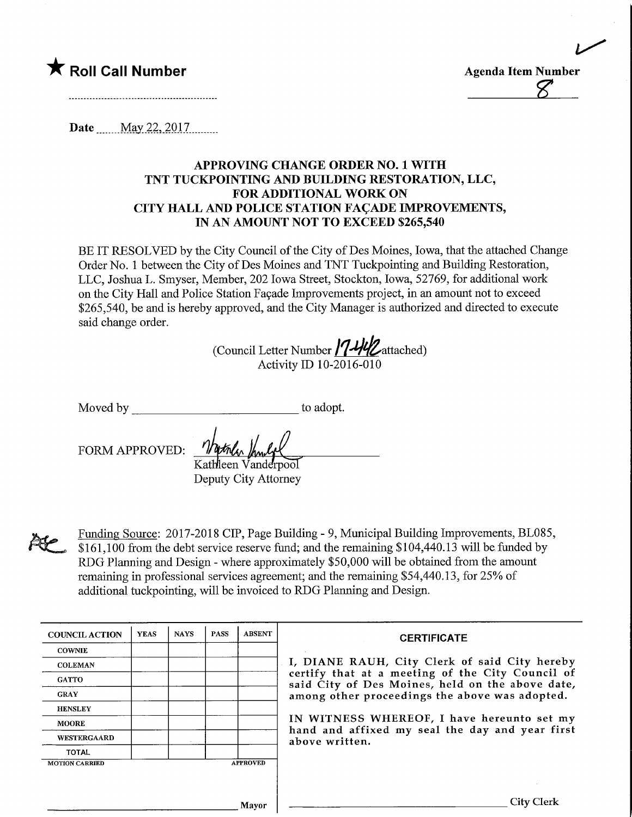



Date May 22, 2017

## APPROVING CHANGE ORDER NO. 1 WITH TNT TUCKPOINTING AND BUILDING RESTORATION, LLC, FOR ADDITIONAL WORK ON CITY HALL AND POLICE STATION FACADE IMPROVEMENTS, IN AN AMOUNT NOT TO EXCEED \$265,540

BE IT RESOLVED by the City Council of the City of Des Moines, Iowa, that the attached Change Order No. 1 between the City of Des Moines and TNT Tuckpointing and Building Restoration, LLC, Joshua L. Smyser, Member, 202 Iowa Street, Stockton, Iowa, 52769, for additional work on the City Hall and Police Station Façade Improvements project, in an amount not to exceed \$265,540, be and is hereby approved, and the City Manager is authorized and directed to execute said change order.

(Council Letter Number 17-442attached) Activity ID 10-2016-010

Moved by to adopt.

FORM APPROVED:

Kathleen Vanderpool Deputy City Attorney



Funding Source: 2017-2018 CIP, Page Building - 9, Municipal Building Improvements, BL085, \$161,100 from the debt service reserve fund; and the remaining \$104,440.13 will be funded by RDG Planning and Design - where approximately \$50,000 will be obtained from the amount remaining in professional services agreement; and the remaining \$54,440.13, for 25% of additional tuckpointing, will be invoiced to RDG Planning and Design.

| <b>COUNCIL ACTION</b> | <b>YEAS</b> | <b>NAYS</b> | <b>PASS</b> | <b>ABSENT</b>   | <b>CERTIFICATE</b>                                                                                   |
|-----------------------|-------------|-------------|-------------|-----------------|------------------------------------------------------------------------------------------------------|
| <b>COWNIE</b>         |             |             |             |                 |                                                                                                      |
| <b>COLEMAN</b>        |             |             |             |                 | I, DIANE RAUH, City Clerk of said City hereby                                                        |
| <b>GATTO</b>          |             |             |             |                 | certify that at a meeting of the City Council of<br>said City of Des Moines, held on the above date, |
| <b>GRAY</b>           |             |             |             |                 | among other proceedings the above was adopted.                                                       |
| <b>HENSLEY</b>        |             |             |             |                 |                                                                                                      |
| <b>MOORE</b>          |             |             |             |                 | IN WITNESS WHEREOF, I have hereunto set my                                                           |
| <b>WESTERGAARD</b>    |             |             |             |                 | hand and affixed my seal the day and year first<br>above written.                                    |
| TOTAL                 |             |             |             |                 |                                                                                                      |
| <b>MOTION CARRIED</b> |             |             |             | <b>APPROVED</b> |                                                                                                      |
|                       |             |             |             |                 |                                                                                                      |
|                       |             |             |             |                 |                                                                                                      |
|                       |             |             |             | Mavor           | City Clerk                                                                                           |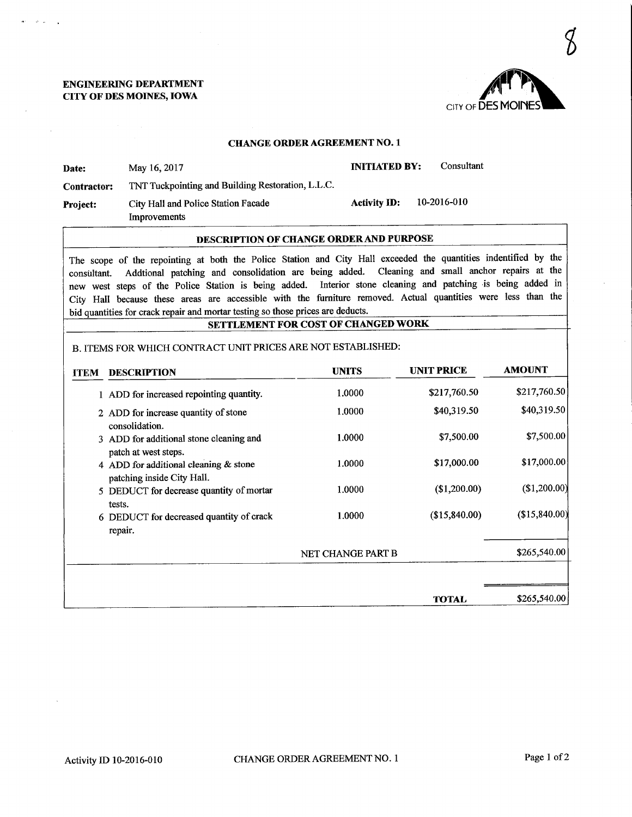## ENGINEEMNG DEPARTMENT CITY OF DES MOINES, IOWA

## CHANGE ORDER AGREEMENT NO. 1

|                    | <b>DESCRIPTION OF CHANGE ORDER AND PURPOSE</b>      |                      |             |
|--------------------|-----------------------------------------------------|----------------------|-------------|
| <b>Project:</b>    | City Hall and Police Station Facade<br>Improvements | <b>Activity ID:</b>  | 10-2016-010 |
| <b>Contractor:</b> | TNT Tuckpointing and Building Restoration, L.L.C.   |                      |             |
| Date:              | May 16, 2017                                        | <b>INITIATED BY:</b> | Consultant  |

The scope of the repointing at both the Police Station and City Hall exceeded the quantities indentified by the consultant. Addtional patching and consolidation are being added. Cleaning and small anchor repairs at the new west steps of the Police Station is being added. Interior stone cleaning and patching iis being added in City Hall because these areas are accessible with the furniture removed. Actual quantities were less than the bid quantities for crack repair and mortar testing so those prices are deducts.

SETTLEMENT FOR COST OF CHANGED WORK

B. ITEMS FOR WHICH CONTRACT UNIT PRICES ARE NOT ESTABLISHED:

| <b>ITEM</b> | <b>DESCRIPTION</b>                                                               | <b>UNITS</b>      | <b>UNIT PRICE</b> | <b>AMOUNT</b> |
|-------------|----------------------------------------------------------------------------------|-------------------|-------------------|---------------|
|             | 1 ADD for increased repointing quantity.                                         | 1.0000            | \$217,760.50      | \$217,760.50  |
|             | 2 ADD for increase quantity of stone<br>consolidation.                           | 1.0000            | \$40,319.50       | \$40,319.50   |
|             | 3 ADD for additional stone cleaning and                                          | 1.0000            | \$7,500.00        | \$7,500.00    |
|             | patch at west steps.<br>4 ADD for additional cleaning & stone                    | 1.0000            | \$17,000.00       | \$17,000.00   |
|             | patching inside City Hall.<br>5 DEDUCT for decrease quantity of mortar<br>tests. | 1.0000            | (\$1,200.00)      | (\$1,200.00)  |
|             | 6 DEDUCT for decreased quantity of crack<br>repair.                              | 1.0000            | (\$15,840.00)     | (\$15,840.00) |
|             |                                                                                  | NET CHANGE PART B |                   | \$265,540.00  |
|             |                                                                                  |                   |                   |               |
|             |                                                                                  |                   | <b>TOTAL</b>      | \$265,540.00  |